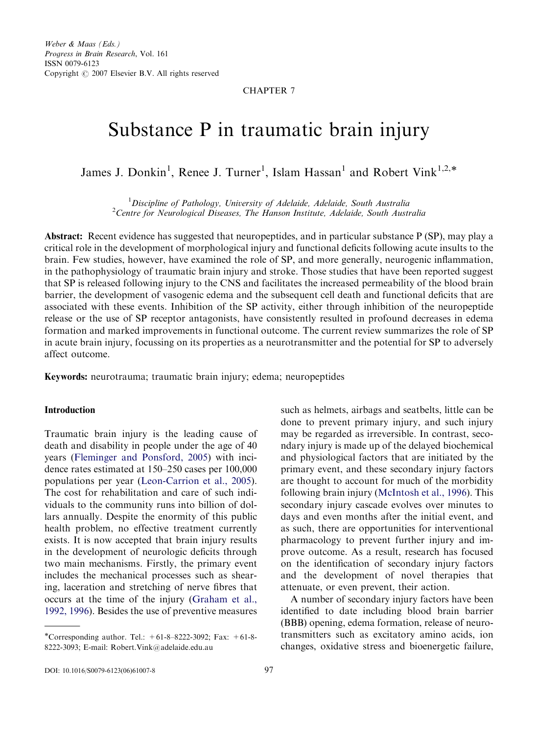Weber & Maas (Eds.) Progress in Brain Research, Vol. 161 ISSN 0079-6123 Copyright  $\odot$  2007 Elsevier B.V. All rights reserved

# CHAPTER 7

# Substance P in traumatic brain injury

James J. Donkin<sup>1</sup>, Renee J. Turner<sup>1</sup>, Islam Hassan<sup>1</sup> and Robert Vink<sup>1,2,\*</sup>

<sup>1</sup> Discipline of Pathology, University of Adelaide, Adelaide, South Australia<sup>2</sup>Centre for Neurological Diseases. The Hanson Institute, Adelaide, South Australia  $2$ Centre for Neurological Diseases, The Hanson Institute, Adelaide, South Australia

Abstract: Recent evidence has suggested that neuropeptides, and in particular substance P (SP), may play a critical role in the development of morphological injury and functional deficits following acute insults to the brain. Few studies, however, have examined the role of SP, and more generally, neurogenic inflammation, in the pathophysiology of traumatic brain injury and stroke. Those studies that have been reported suggest that SP is released following injury to the CNS and facilitates the increased permeability of the blood brain barrier, the development of vasogenic edema and the subsequent cell death and functional deficits that are associated with these events. Inhibition of the SP activity, either through inhibition of the neuropeptide release or the use of SP receptor antagonists, have consistently resulted in profound decreases in edema formation and marked improvements in functional outcome. The current review summarizes the role of SP in acute brain injury, focussing on its properties as a neurotransmitter and the potential for SP to adversely affect outcome.

Keywords: neurotrauma; traumatic brain injury; edema; neuropeptides

#### **Introduction**

Traumatic brain injury is the leading cause of death and disability in people under the age of 40 years [\(Fleminger and Ponsford, 2005](#page-8-0)) with incidence rates estimated at 150–250 cases per 100,000 populations per year ([Leon-Carrion et al., 2005](#page-9-0)). The cost for rehabilitation and care of such individuals to the community runs into billion of dollars annually. Despite the enormity of this public health problem, no effective treatment currently exists. It is now accepted that brain injury results in the development of neurologic deficits through two main mechanisms. Firstly, the primary event includes the mechanical processes such as shearing, laceration and stretching of nerve fibres that occurs at the time of the injury ([Graham et al.,](#page-8-0) [1992, 1996\)](#page-8-0). Besides the use of preventive measures such as helmets, airbags and seatbelts, little can be done to prevent primary injury, and such injury may be regarded as irreversible. In contrast, secondary injury is made up of the delayed biochemical and physiological factors that are initiated by the primary event, and these secondary injury factors are thought to account for much of the morbidity following brain injury ([McIntosh et al., 1996](#page-10-0)). This secondary injury cascade evolves over minutes to days and even months after the initial event, and as such, there are opportunities for interventional pharmacology to prevent further injury and improve outcome. As a result, research has focused on the identification of secondary injury factors and the development of novel therapies that attenuate, or even prevent, their action.

A number of secondary injury factors have been identified to date including blood brain barrier (BBB) opening, edema formation, release of neurotransmitters such as excitatory amino acids, ion changes, oxidative stress and bioenergetic failure,

<sup>\*</sup>Corresponding author. Tel.:  $+61-8-8222-3092$ ; Fax:  $+61-8-$ 8222-3093; E-mail: [Robert.Vink@adelaide.edu.au](mailto:Robert.Vink@adelaide.edu.au)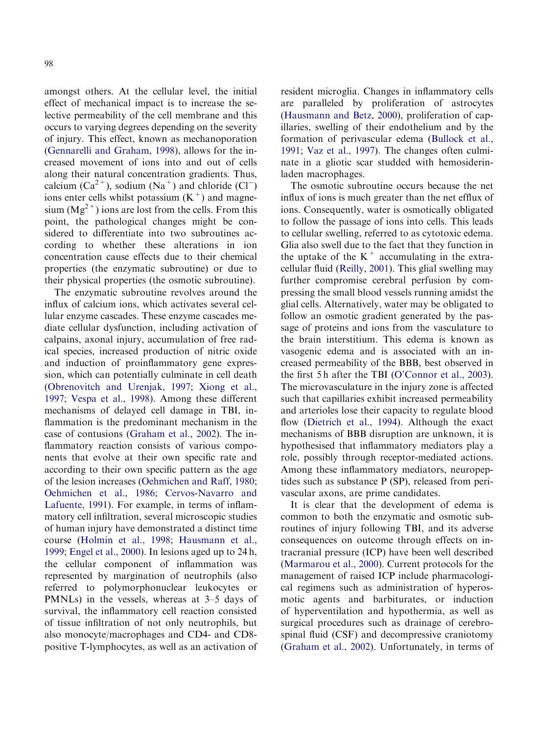amongst others. At the cellular level, the initial effect of mechanical impact is to increase the selective permeability of the cell membrane and this occurs to varying degrees depending on the severity of injury. This effect, known as mechanoporation [\(Gennarelli and Graham, 1998\)](#page-8-0), allows for the increased movement of ions into and out of cells along their natural concentration gradients. Thus, calcium  $(Ca^{2+})$ , sodium  $(Na^{+})$  and chloride  $(Cl^{-})$ ions enter cells whilst potassium  $(K^+)$  and magnesium  $(Mg^{2+})$  ions are lost from the cells. From this point, the pathological changes might be considered to differentiate into two subroutines according to whether these alterations in ion concentration cause effects due to their chemical properties (the enzymatic subroutine) or due to their physical properties (the osmotic subroutine).

The enzymatic subroutine revolves around the influx of calcium ions, which activates several cellular enzyme cascades. These enzyme cascades mediate cellular dysfunction, including activation of calpains, axonal injury, accumulation of free radical species, increased production of nitric oxide and induction of proinflammatory gene expression, which can potentially culminate in cell death [\(Obrenovitch and Urenjak, 1997;](#page-10-0) [Xiong et al.,](#page-12-0) [1997;](#page-12-0) [Vespa et al., 1998\)](#page-12-0). Among these different mechanisms of delayed cell damage in TBI, inflammation is the predominant mechanism in the case of contusions [\(Graham et al., 2002\)](#page-9-0). The inflammatory reaction consists of various components that evolve at their own specific rate and according to their own specific pattern as the age of the lesion increases [\(Oehmichen and Raff, 1980](#page-10-0); [Oehmichen et al., 1986;](#page-10-0) [Cervos-Navarro and](#page-8-0) [Lafuente, 1991](#page-8-0)). For example, in terms of inflammatory cell infiltration, several microscopic studies of human injury have demonstrated a distinct time course ([Holmin et al., 1998;](#page-9-0) [Hausmann et al.,](#page-9-0) [1999;](#page-9-0) [Engel et al., 2000](#page-8-0)). In lesions aged up to 24 h, the cellular component of inflammation was represented by margination of neutrophils (also referred to polymorphonuclear leukocytes or PMNLs) in the vessels, whereas at 3–5 days of survival, the inflammatory cell reaction consisted of tissue infiltration of not only neutrophils, but also monocyte/macrophages and CD4- and CD8 positive T-lymphocytes, as well as an activation of resident microglia. Changes in inflammatory cells are paralleled by proliferation of astrocytes [\(Hausmann and Betz, 2000\)](#page-9-0), proliferation of capillaries, swelling of their endothelium and by the formation of perivascular edema [\(Bullock et al.,](#page-8-0) [1991](#page-8-0); [Vaz et al., 1997](#page-11-0)). The changes often culminate in a gliotic scar studded with hemosiderinladen macrophages.

The osmotic subroutine occurs because the net influx of ions is much greater than the net efflux of ions. Consequently, water is osmotically obligated to follow the passage of ions into cells. This leads to cellular swelling, referred to as cytotoxic edema. Glia also swell due to the fact that they function in the uptake of the  $K^+$  accumulating in the extracellular fluid [\(Reilly, 2001\)](#page-11-0). This glial swelling may further compromise cerebral perfusion by compressing the small blood vessels running amidst the glial cells. Alternatively, water may be obligated to follow an osmotic gradient generated by the passage of proteins and ions from the vasculature to the brain interstitium. This edema is known as vasogenic edema and is associated with an increased permeability of the BBB, best observed in the first 5 h after the TBI [\(O'Connor et al., 2003](#page-10-0)). The microvasculature in the injury zone is affected such that capillaries exhibit increased permeability and arterioles lose their capacity to regulate blood flow ([Dietrich et al., 1994\)](#page-8-0). Although the exact mechanisms of BBB disruption are unknown, it is hypothesised that inflammatory mediators play a role, possibly through receptor-mediated actions. Among these inflammatory mediators, neuropeptides such as substance P (SP), released from perivascular axons, are prime candidates.

It is clear that the development of edema is common to both the enzymatic and osmotic subroutines of injury following TBI, and its adverse consequences on outcome through effects on intracranial pressure (ICP) have been well described [\(Marmarou et al., 2000\)](#page-10-0). Current protocols for the management of raised ICP include pharmacological regimens such as administration of hyperosmotic agents and barbiturates, or induction of hyperventilation and hypothermia, as well as surgical procedures such as drainage of cerebrospinal fluid (CSF) and decompressive craniotomy [\(Graham et al., 2002\)](#page-9-0). Unfortunately, in terms of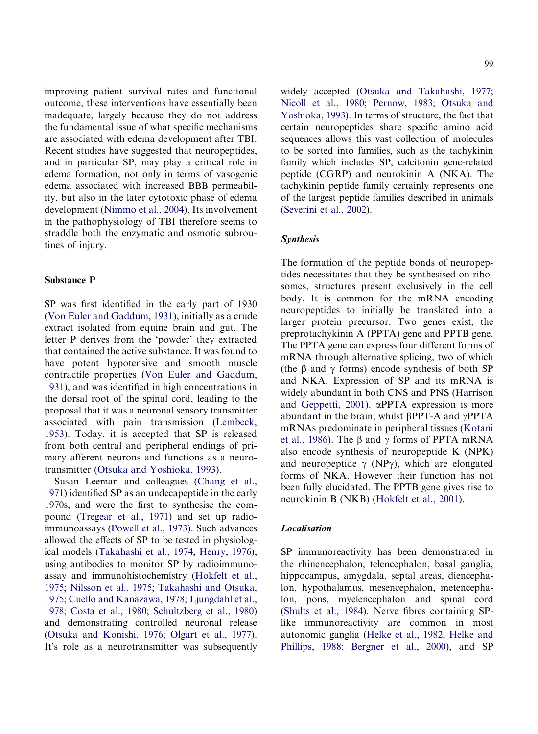improving patient survival rates and functional outcome, these interventions have essentially been inadequate, largely because they do not address the fundamental issue of what specific mechanisms are associated with edema development after TBI. Recent studies have suggested that neuropeptides, and in particular SP, may play a critical role in edema formation, not only in terms of vasogenic edema associated with increased BBB permeability, but also in the later cytotoxic phase of edema development [\(Nimmo et al., 2004](#page-10-0)). Its involvement in the pathophysiology of TBI therefore seems to straddle both the enzymatic and osmotic subroutines of injury.

#### Substance P

SP was first identified in the early part of 1930 [\(Von Euler and Gaddum, 1931](#page-12-0)), initially as a crude extract isolated from equine brain and gut. The letter P derives from the 'powder' they extracted that contained the active substance. It was found to have potent hypotensive and smooth muscle contractile properties ([Von Euler and Gaddum,](#page-12-0) [1931\)](#page-12-0), and was identified in high concentrations in the dorsal root of the spinal cord, leading to the proposal that it was a neuronal sensory transmitter associated with pain transmission [\(Lembeck,](#page-9-0) [1953\)](#page-9-0). Today, it is accepted that SP is released from both central and peripheral endings of primary afferent neurons and functions as a neurotransmitter ([Otsuka and Yoshioka, 1993](#page-10-0)).

Susan Leeman and colleagues ([Chang et al.,](#page-8-0) [1971\)](#page-8-0) identified SP as an undecapeptide in the early 1970s, and were the first to synthesise the compound [\(Tregear et al., 1971\)](#page-11-0) and set up radioimmunoassays [\(Powell et al., 1973\)](#page-11-0). Such advances allowed the effects of SP to be tested in physiological models ([Takahashi et al., 1974](#page-11-0); [Henry, 1976](#page-9-0)), using antibodies to monitor SP by radioimmunoassay and immunohistochemistry [\(Hokfelt et al.,](#page-9-0) [1975;](#page-9-0) [Nilsson et al., 1975;](#page-10-0) [Takahashi and Otsuka,](#page-11-0) [1975;](#page-11-0) [Cuello and Kanazawa, 1978;](#page-8-0) [Ljungdahl et al.,](#page-9-0) [1978;](#page-9-0) [Costa et al., 1980](#page-8-0); [Schultzberg et al., 1980\)](#page-11-0) and demonstrating controlled neuronal release [\(Otsuka and Konishi, 1976;](#page-10-0) [Olgart et al., 1977](#page-10-0)). It's role as a neurotransmitter was subsequently 99

widely accepted ([Otsuka and Takahashi, 1977;](#page-10-0) [Nicoll et al., 1980;](#page-10-0) [Pernow, 1983;](#page-10-0) [Otsuka and](#page-10-0) [Yoshioka, 1993](#page-10-0)). In terms of structure, the fact that certain neuropeptides share specific amino acid sequences allows this vast collection of molecules to be sorted into families, such as the tachykinin family which includes SP, calcitonin gene-related peptide (CGRP) and neurokinin A (NKA). The tachykinin peptide family certainly represents one of the largest peptide families described in animals [\(Severini et al., 2002\)](#page-11-0).

### Synthesis

The formation of the peptide bonds of neuropeptides necessitates that they be synthesised on ribosomes, structures present exclusively in the cell body. It is common for the mRNA encoding neuropeptides to initially be translated into a larger protein precursor. Two genes exist, the preprotachykinin A (PPTA) gene and PPTB gene. The PPTA gene can express four different forms of mRNA through alternative splicing, two of which (the  $\beta$  and  $\gamma$  forms) encode synthesis of both SP and NKA. Expression of SP and its mRNA is widely abundant in both CNS and PNS ([Harrison](#page-9-0) [and Geppetti, 2001\)](#page-9-0). aPPTA expression is more abundant in the brain, whilst  $\beta$ PPT-A and  $\gamma$ PPTA mRNAs predominate in peripheral tissues ([Kotani](#page-9-0) [et al., 1986\)](#page-9-0). The  $\beta$  and  $\gamma$  forms of PPTA mRNA also encode synthesis of neuropeptide K (NPK) and neuropeptide  $\gamma$  (NP $\gamma$ ), which are elongated forms of NKA. However their function has not been fully elucidated. The PPTB gene gives rise to neurokinin B (NKB) [\(Hokfelt et al., 2001](#page-9-0)).

# Localisation

SP immunoreactivity has been demonstrated in the rhinencephalon, telencephalon, basal ganglia, hippocampus, amygdala, septal areas, diencephalon, hypothalamus, mesencephalon, metencephalon, pons, myelencephalon and spinal cord [\(Shults et al., 1984](#page-11-0)). Nerve fibres containing SPlike immunoreactivity are common in most autonomic ganglia [\(Helke et al., 1982;](#page-9-0) [Helke and](#page-9-0) [Phillips, 1988](#page-9-0); [Bergner et al., 2000](#page-8-0)), and SP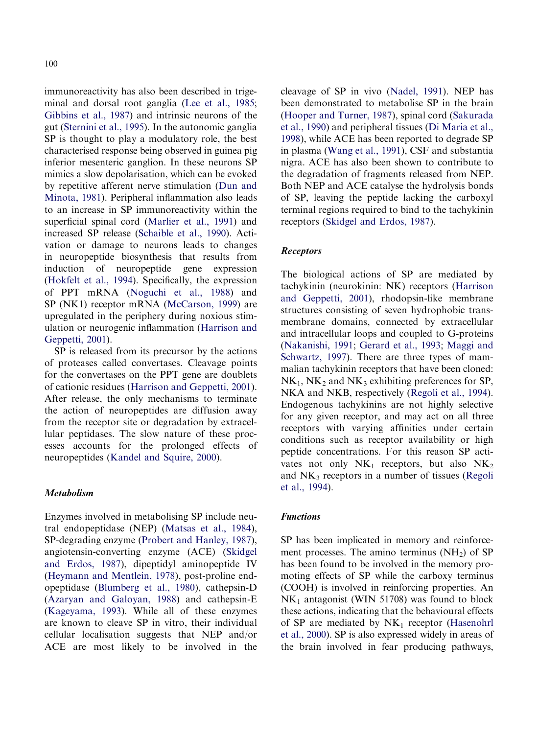immunoreactivity has also been described in trigeminal and dorsal root ganglia [\(Lee et al., 1985](#page-9-0); [Gibbins et al., 1987](#page-8-0)) and intrinsic neurons of the gut ([Sternini et al., 1995\)](#page-11-0). In the autonomic ganglia SP is thought to play a modulatory role, the best characterised response being observed in guinea pig inferior mesenteric ganglion. In these neurons SP mimics a slow depolarisation, which can be evoked by repetitive afferent nerve stimulation [\(Dun and](#page-8-0) [Minota, 1981](#page-8-0)). Peripheral inflammation also leads to an increase in SP immunoreactivity within the superficial spinal cord ([Marlier et al., 1991](#page-10-0)) and increased SP release [\(Schaible et al., 1990\)](#page-11-0). Activation or damage to neurons leads to changes in neuropeptide biosynthesis that results from induction of neuropeptide gene expression [\(Hokfelt et al., 1994](#page-9-0)). Specifically, the expression of PPT mRNA ([Noguchi et al., 1988\)](#page-10-0) and SP (NK1) receptor mRNA [\(McCarson, 1999\)](#page-10-0) are upregulated in the periphery during noxious stimulation or neurogenic inflammation [\(Harrison and](#page-9-0) [Geppetti, 2001\)](#page-9-0).

SP is released from its precursor by the actions of proteases called convertases. Cleavage points for the convertases on the PPT gene are doublets of cationic residues [\(Harrison and Geppetti, 2001](#page-9-0)). After release, the only mechanisms to terminate the action of neuropeptides are diffusion away from the receptor site or degradation by extracellular peptidases. The slow nature of these processes accounts for the prolonged effects of neuropeptides ([Kandel and Squire, 2000\)](#page-9-0).

# Metabolism

Enzymes involved in metabolising SP include neutral endopeptidase (NEP) [\(Matsas et al., 1984](#page-10-0)), SP-degrading enzyme [\(Probert and Hanley, 1987](#page-11-0)), angiotensin-converting enzyme (ACE) ([Skidgel](#page-11-0) [and Erdos, 1987](#page-11-0)), dipeptidyl aminopeptide IV [\(Heymann and Mentlein, 1978](#page-9-0)), post-proline endopeptidase [\(Blumberg et al., 1980](#page-8-0)), cathepsin-D [\(Azaryan and Galoyan, 1988\)](#page-8-0) and cathepsin-E [\(Kageyama, 1993\)](#page-9-0). While all of these enzymes are known to cleave SP in vitro, their individual cellular localisation suggests that NEP and/or ACE are most likely to be involved in the cleavage of SP in vivo ([Nadel, 1991](#page-10-0)). NEP has been demonstrated to metabolise SP in the brain [\(Hooper and Turner, 1987\)](#page-9-0), spinal cord [\(Sakurada](#page-11-0) [et al., 1990\)](#page-11-0) and peripheral tissues ([Di Maria et al.,](#page-8-0) [1998](#page-8-0)), while ACE has been reported to degrade SP in plasma [\(Wang et al., 1991\)](#page-12-0), CSF and substantia nigra. ACE has also been shown to contribute to the degradation of fragments released from NEP. Both NEP and ACE catalyse the hydrolysis bonds of SP, leaving the peptide lacking the carboxyl terminal regions required to bind to the tachykinin receptors ([Skidgel and Erdos, 1987](#page-11-0)).

### Receptors

The biological actions of SP are mediated by tachykinin (neurokinin: NK) receptors ([Harrison](#page-9-0) [and Geppetti, 2001](#page-9-0)), rhodopsin-like membrane structures consisting of seven hydrophobic transmembrane domains, connected by extracellular and intracellular loops and coupled to G-proteins [\(Nakanishi, 1991;](#page-10-0) [Gerard et al., 1993;](#page-8-0) [Maggi and](#page-10-0) [Schwartz, 1997](#page-10-0)). There are three types of mammalian tachykinin receptors that have been cloned:  $NK<sub>1</sub>$ ,  $NK<sub>2</sub>$  and  $NK<sub>3</sub>$  exhibiting preferences for SP, NKA and NKB, respectively [\(Regoli et al., 1994](#page-11-0)). Endogenous tachykinins are not highly selective for any given receptor, and may act on all three receptors with varying affinities under certain conditions such as receptor availability or high peptide concentrations. For this reason SP activates not only  $NK_1$  receptors, but also  $NK_2$ and  $NK<sub>3</sub>$  receptors in a number of tissues [\(Regoli](#page-11-0) [et al., 1994](#page-11-0)).

# Functions

SP has been implicated in memory and reinforcement processes. The amino terminus  $(NH<sub>2</sub>)$  of SP has been found to be involved in the memory promoting effects of SP while the carboxy terminus (COOH) is involved in reinforcing properties. An  $NK<sub>1</sub>$  antagonist (WIN 51708) was found to block these actions, indicating that the behavioural effects of SP are mediated by  $NK_1$  receptor [\(Hasenohrl](#page-9-0) [et al., 2000\)](#page-9-0). SP is also expressed widely in areas of the brain involved in fear producing pathways,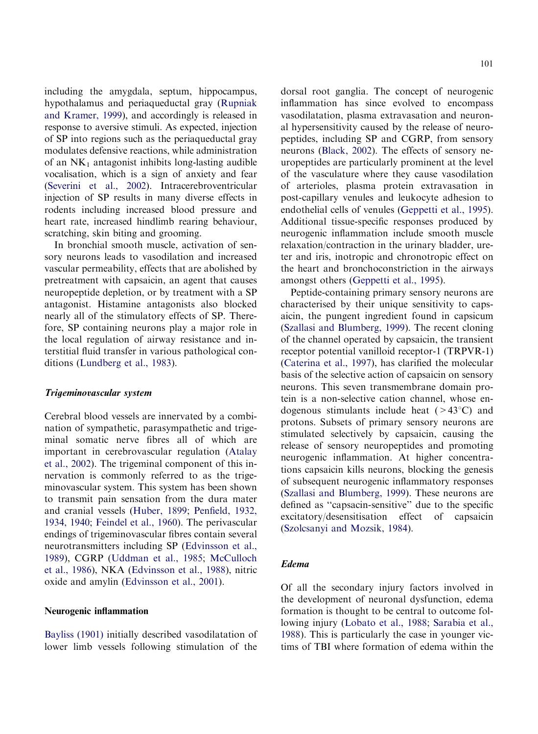including the amygdala, septum, hippocampus, hypothalamus and periaqueductal gray [\(Rupniak](#page-11-0) [and Kramer, 1999](#page-11-0)), and accordingly is released in response to aversive stimuli. As expected, injection of SP into regions such as the periaqueductal gray modulates defensive reactions, while administration of an  $NK_1$  antagonist inhibits long-lasting audible vocalisation, which is a sign of anxiety and fear [\(Severini et al., 2002\)](#page-11-0). Intracerebroventricular injection of SP results in many diverse effects in rodents including increased blood pressure and heart rate, increased hindlimb rearing behaviour, scratching, skin biting and grooming.

In bronchial smooth muscle, activation of sensory neurons leads to vasodilation and increased vascular permeability, effects that are abolished by pretreatment with capsaicin, an agent that causes neuropeptide depletion, or by treatment with a SP antagonist. Histamine antagonists also blocked nearly all of the stimulatory effects of SP. Therefore, SP containing neurons play a major role in the local regulation of airway resistance and interstitial fluid transfer in various pathological conditions ([Lundberg et al., 1983](#page-10-0)).

#### Trigeminovascular system

Cerebral blood vessels are innervated by a combination of sympathetic, parasympathetic and trigeminal somatic nerve fibres all of which are important in cerebrovascular regulation [\(Atalay](#page-7-0) [et al., 2002\)](#page-7-0). The trigeminal component of this innervation is commonly referred to as the trigeminovascular system. This system has been shown to transmit pain sensation from the dura mater and cranial vessels ([Huber, 1899](#page-9-0); [Penfield, 1932,](#page-10-0) [1934, 1940;](#page-10-0) [Feindel et al., 1960](#page-8-0)). The perivascular endings of trigeminovascular fibres contain several neurotransmitters including SP [\(Edvinsson et al.,](#page-8-0) [1989\)](#page-8-0), CGRP ([Uddman et al., 1985](#page-11-0); [McCulloch](#page-10-0) [et al., 1986\)](#page-10-0), NKA [\(Edvinsson et al., 1988](#page-8-0)), nitric oxide and amylin [\(Edvinsson et al., 2001](#page-8-0)).

### Neurogenic inflammation

[Bayliss \(1901\)](#page-8-0) initially described vasodilatation of lower limb vessels following stimulation of the

dorsal root ganglia. The concept of neurogenic inflammation has since evolved to encompass vasodilatation, plasma extravasation and neuronal hypersensitivity caused by the release of neuropeptides, including SP and CGRP, from sensory neurons [\(Black, 2002](#page-8-0)). The effects of sensory neuropeptides are particularly prominent at the level of the vasculature where they cause vasodilation of arterioles, plasma protein extravasation in post-capillary venules and leukocyte adhesion to endothelial cells of venules ([Geppetti et al., 1995](#page-8-0)). Additional tissue-specific responses produced by neurogenic inflammation include smooth muscle relaxation/contraction in the urinary bladder, ureter and iris, inotropic and chronotropic effect on the heart and bronchoconstriction in the airways amongst others ([Geppetti et al., 1995\)](#page-8-0).

Peptide-containing primary sensory neurons are characterised by their unique sensitivity to capsaicin, the pungent ingredient found in capsicum [\(Szallasi and Blumberg, 1999\)](#page-11-0). The recent cloning of the channel operated by capsaicin, the transient receptor potential vanilloid receptor-1 (TRPVR-1) [\(Caterina et al., 1997\)](#page-8-0), has clarified the molecular basis of the selective action of capsaicin on sensory neurons. This seven transmembrane domain protein is a non-selective cation channel, whose endogenous stimulants include heat  $(>43^{\circ}C)$  and protons. Subsets of primary sensory neurons are stimulated selectively by capsaicin, causing the release of sensory neuropeptides and promoting neurogenic inflammation. At higher concentrations capsaicin kills neurons, blocking the genesis of subsequent neurogenic inflammatory responses [\(Szallasi and Blumberg, 1999](#page-11-0)). These neurons are defined as ''capsacin-sensitive'' due to the specific excitatory/desensitisation effect of capsaicin [\(Szolcsanyi and Mozsik, 1984](#page-11-0)).

### Edema

Of all the secondary injury factors involved in the development of neuronal dysfunction, edema formation is thought to be central to outcome following injury ([Lobato et al., 1988](#page-10-0); [Sarabia et al.,](#page-11-0) [1988](#page-11-0)). This is particularly the case in younger victims of TBI where formation of edema within the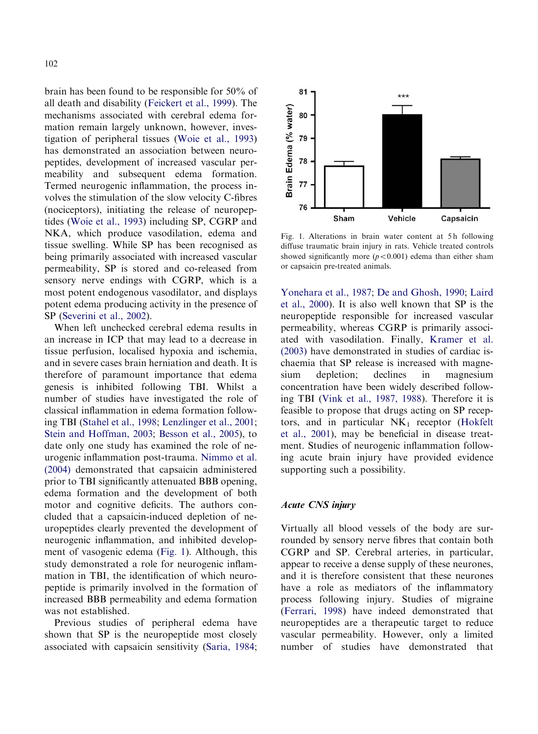brain has been found to be responsible for 50% of all death and disability ([Feickert et al., 1999\)](#page-8-0). The mechanisms associated with cerebral edema formation remain largely unknown, however, investigation of peripheral tissues ([Woie et al., 1993\)](#page-12-0) has demonstrated an association between neuropeptides, development of increased vascular permeability and subsequent edema formation. Termed neurogenic inflammation, the process involves the stimulation of the slow velocity C-fibres (nociceptors), initiating the release of neuropeptides [\(Woie et al., 1993\)](#page-12-0) including SP, CGRP and NKA, which produce vasodilation, edema and tissue swelling. While SP has been recognised as being primarily associated with increased vascular permeability, SP is stored and co-released from sensory nerve endings with CGRP, which is a most potent endogenous vasodilator, and displays potent edema producing activity in the presence of SP [\(Severini et al., 2002\)](#page-11-0).

When left unchecked cerebral edema results in an increase in ICP that may lead to a decrease in tissue perfusion, localised hypoxia and ischemia, and in severe cases brain herniation and death. It is therefore of paramount importance that edema genesis is inhibited following TBI. Whilst a number of studies have investigated the role of classical inflammation in edema formation following TBI ([Stahel et al., 1998;](#page-11-0) [Lenzlinger et al., 2001](#page-9-0); [Stein and Hoffman, 2003;](#page-11-0) [Besson et al., 2005\)](#page-8-0), to date only one study has examined the role of neurogenic inflammation post-trauma. [Nimmo et al.](#page-10-0) [\(2004\)](#page-10-0) demonstrated that capsaicin administered prior to TBI significantly attenuated BBB opening, edema formation and the development of both motor and cognitive deficits. The authors concluded that a capsaicin-induced depletion of neuropeptides clearly prevented the development of neurogenic inflammation, and inhibited development of vasogenic edema (Fig. 1). Although, this study demonstrated a role for neurogenic inflammation in TBI, the identification of which neuropeptide is primarily involved in the formation of increased BBB permeability and edema formation was not established.

Previous studies of peripheral edema have shown that SP is the neuropeptide most closely associated with capsaicin sensitivity ([Saria, 1984](#page-11-0);



Fig. 1. Alterations in brain water content at 5h following diffuse traumatic brain injury in rats. Vehicle treated controls showed significantly more  $(p < 0.001)$  edema than either sham or capsaicin pre-treated animals.

[Yonehara et al., 1987;](#page-12-0) [De and Ghosh, 1990;](#page-8-0) [Laird](#page-9-0) [et al., 2000\)](#page-9-0). It is also well known that SP is the neuropeptide responsible for increased vascular permeability, whereas CGRP is primarily associated with vasodilation. Finally, [Kramer et al.](#page-9-0) [\(2003\)](#page-9-0) have demonstrated in studies of cardiac ischaemia that SP release is increased with magnesium depletion; declines in magnesium concentration have been widely described following TBI ([Vink et al., 1987, 1988\)](#page-12-0). Therefore it is feasible to propose that drugs acting on SP receptors, and in particular  $NK_1$  receptor [\(Hokfelt](#page-9-0) [et al., 2001\)](#page-9-0), may be beneficial in disease treatment. Studies of neurogenic inflammation following acute brain injury have provided evidence supporting such a possibility.

#### Acute CNS injury

Virtually all blood vessels of the body are surrounded by sensory nerve fibres that contain both CGRP and SP. Cerebral arteries, in particular, appear to receive a dense supply of these neurones, and it is therefore consistent that these neurones have a role as mediators of the inflammatory process following injury. Studies of migraine [\(Ferrari, 1998\)](#page-8-0) have indeed demonstrated that neuropeptides are a therapeutic target to reduce vascular permeability. However, only a limited number of studies have demonstrated that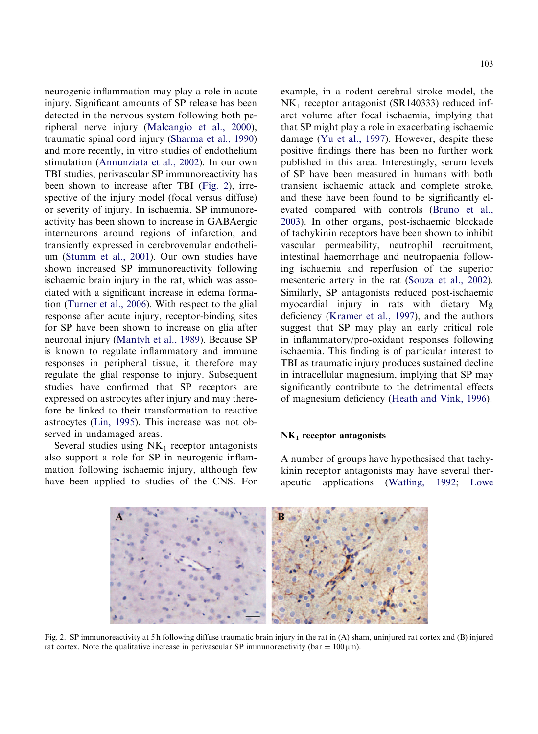neurogenic inflammation may play a role in acute injury. Significant amounts of SP release has been detected in the nervous system following both peripheral nerve injury ([Malcangio et al., 2000](#page-10-0)), traumatic spinal cord injury ([Sharma et al., 1990\)](#page-11-0) and more recently, in vitro studies of endothelium stimulation [\(Annunziata et al., 2002](#page-7-0)). In our own TBI studies, perivascular SP immunoreactivity has been shown to increase after TBI (Fig. 2), irrespective of the injury model (focal versus diffuse) or severity of injury. In ischaemia, SP immunoreactivity has been shown to increase in GABAergic interneurons around regions of infarction, and transiently expressed in cerebrovenular endothelium ([Stumm et al., 2001\)](#page-11-0). Our own studies have shown increased SP immunoreactivity following ischaemic brain injury in the rat, which was associated with a significant increase in edema formation [\(Turner et al., 2006\)](#page-11-0). With respect to the glial response after acute injury, receptor-binding sites for SP have been shown to increase on glia after neuronal injury ([Mantyh et al., 1989](#page-10-0)). Because SP is known to regulate inflammatory and immune responses in peripheral tissue, it therefore may regulate the glial response to injury. Subsequent studies have confirmed that SP receptors are expressed on astrocytes after injury and may therefore be linked to their transformation to reactive astrocytes ([Lin, 1995](#page-9-0)). This increase was not observed in undamaged areas.

Several studies using  $NK<sub>1</sub>$  receptor antagonists also support a role for SP in neurogenic inflammation following ischaemic injury, although few have been applied to studies of the CNS. For example, in a rodent cerebral stroke model, the  $NK_1$  receptor antagonist (SR140333) reduced infarct volume after focal ischaemia, implying that that SP might play a role in exacerbating ischaemic damage [\(Yu et al., 1997\)](#page-12-0). However, despite these positive findings there has been no further work published in this area. Interestingly, serum levels of SP have been measured in humans with both transient ischaemic attack and complete stroke, and these have been found to be significantly elevated compared with controls ([Bruno et al.,](#page-8-0) [2003](#page-8-0)). In other organs, post-ischaemic blockade of tachykinin receptors have been shown to inhibit vascular permeability, neutrophil recruitment, intestinal haemorrhage and neutropaenia following ischaemia and reperfusion of the superior mesenteric artery in the rat [\(Souza et al., 2002](#page-11-0)). Similarly, SP antagonists reduced post-ischaemic myocardial injury in rats with dietary Mg deficiency [\(Kramer et al., 1997](#page-9-0)), and the authors suggest that SP may play an early critical role in inflammatory/pro-oxidant responses following ischaemia. This finding is of particular interest to TBI as traumatic injury produces sustained decline in intracellular magnesium, implying that SP may significantly contribute to the detrimental effects of magnesium deficiency [\(Heath and Vink, 1996](#page-9-0)).

# $NK<sub>1</sub>$  receptor antagonists

A number of groups have hypothesised that tachykinin receptor antagonists may have several therapeutic applications ([Watling, 1992](#page-12-0); [Lowe](#page-10-0)



Fig. 2. SP immunoreactivity at 5 h following diffuse traumatic brain injury in the rat in (A) sham, uninjured rat cortex and (B) injured rat cortex. Note the qualitative increase in perivascular SP immunoreactivity (bar =  $100 \,\mu m$ ).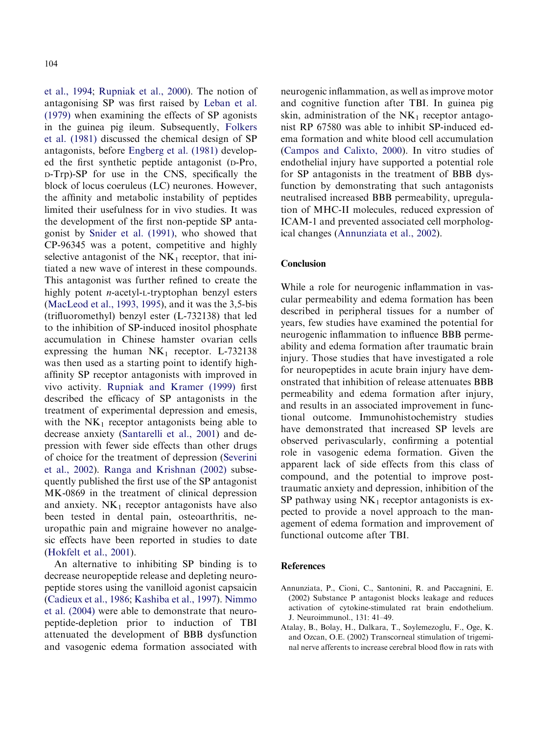<span id="page-7-0"></span>[et al., 1994](#page-10-0); [Rupniak et al., 2000](#page-11-0)). The notion of antagonising SP was first raised by [Leban et al.](#page-9-0) [\(1979\)](#page-9-0) when examining the effects of SP agonists in the guinea pig ileum. Subsequently, [Folkers](#page-8-0) [et al. \(1981\)](#page-8-0) discussed the chemical design of SP antagonists, before [Engberg et al. \(1981\)](#page-8-0) developed the first synthetic peptide antagonist (D-Pro, D-Trp)-SP for use in the CNS, specifically the block of locus coeruleus (LC) neurones. However, the affinity and metabolic instability of peptides limited their usefulness for in vivo studies. It was the development of the first non-peptide SP antagonist by [Snider et al. \(1991\)](#page-11-0), who showed that CP-96345 was a potent, competitive and highly selective antagonist of the  $NK<sub>1</sub>$  receptor, that initiated a new wave of interest in these compounds. This antagonist was further refined to create the highly potent *n*-acetyl-L-tryptophan benzyl esters [\(MacLeod et al., 1993, 1995\)](#page-10-0), and it was the 3,5-bis (trifluoromethyl) benzyl ester (L-732138) that led to the inhibition of SP-induced inositol phosphate accumulation in Chinese hamster ovarian cells expressing the human  $NK_1$  receptor. L-732138 was then used as a starting point to identify highaffinity SP receptor antagonists with improved in vivo activity. [Rupniak and Kramer \(1999\)](#page-11-0) first described the efficacy of SP antagonists in the treatment of experimental depression and emesis, with the  $NK_1$  receptor antagonists being able to decrease anxiety ([Santarelli et al., 2001\)](#page-11-0) and depression with fewer side effects than other drugs of choice for the treatment of depression [\(Severini](#page-11-0) [et al., 2002\)](#page-11-0). [Ranga and Krishnan \(2002\)](#page-11-0) subsequently published the first use of the SP antagonist MK-0869 in the treatment of clinical depression and anxiety.  $NK_1$  receptor antagonists have also been tested in dental pain, osteoarthritis, neuropathic pain and migraine however no analgesic effects have been reported in studies to date [\(Hokfelt et al., 2001\)](#page-9-0).

An alternative to inhibiting SP binding is to decrease neuropeptide release and depleting neuropeptide stores using the vanilloid agonist capsaicin [\(Cadieux et al., 1986;](#page-8-0) [Kashiba et al., 1997](#page-9-0)). [Nimmo](#page-10-0) [et al. \(2004\)](#page-10-0) were able to demonstrate that neuropeptide-depletion prior to induction of TBI attenuated the development of BBB dysfunction and vasogenic edema formation associated with neurogenic inflammation, as well as improve motor and cognitive function after TBI. In guinea pig skin, administration of the  $NK_1$  receptor antagonist RP 67580 was able to inhibit SP-induced edema formation and white blood cell accumulation [\(Campos and Calixto, 2000\)](#page-8-0). In vitro studies of endothelial injury have supported a potential role for SP antagonists in the treatment of BBB dysfunction by demonstrating that such antagonists neutralised increased BBB permeability, upregulation of MHC-II molecules, reduced expression of ICAM-1 and prevented associated cell morphological changes (Annunziata et al., 2002).

# Conclusion

While a role for neurogenic inflammation in vascular permeability and edema formation has been described in peripheral tissues for a number of years, few studies have examined the potential for neurogenic inflammation to influence BBB permeability and edema formation after traumatic brain injury. Those studies that have investigated a role for neuropeptides in acute brain injury have demonstrated that inhibition of release attenuates BBB permeability and edema formation after injury, and results in an associated improvement in functional outcome. Immunohistochemistry studies have demonstrated that increased SP levels are observed perivascularly, confirming a potential role in vasogenic edema formation. Given the apparent lack of side effects from this class of compound, and the potential to improve posttraumatic anxiety and depression, inhibition of the SP pathway using  $NK_1$  receptor antagonists is expected to provide a novel approach to the management of edema formation and improvement of functional outcome after TBI.

# References

- Annunziata, P., Cioni, C., Santonini, R. and Paccagnini, E. (2002) Substance P antagonist blocks leakage and reduces activation of cytokine-stimulated rat brain endothelium. J. Neuroimmunol., 131: 41–49.
- Atalay, B., Bolay, H., Dalkara, T., Soylemezoglu, F., Oge, K. and Ozcan, O.E. (2002) Transcorneal stimulation of trigeminal nerve afferents to increase cerebral blood flow in rats with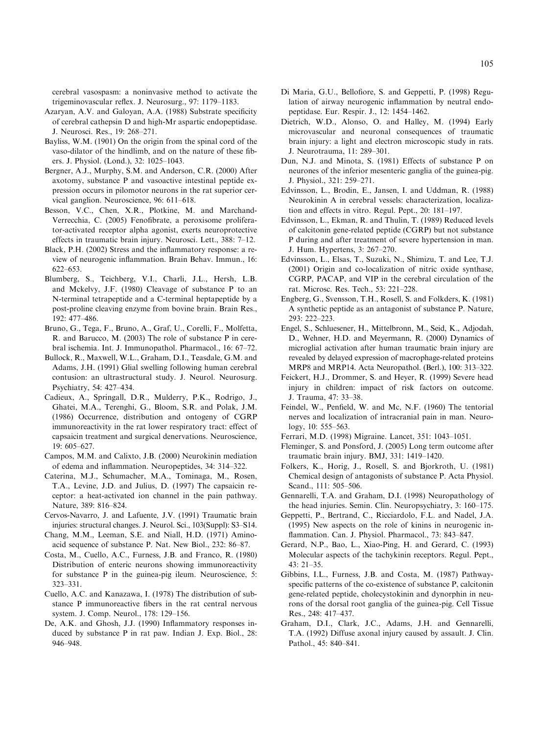<span id="page-8-0"></span>cerebral vasospasm: a noninvasive method to activate the trigeminovascular reflex. J. Neurosurg., 97: 1179–1183.

- Azaryan, A.V. and Galoyan, A.A. (1988) Substrate specificity of cerebral cathepsin D and high-Mr aspartic endopeptidase. J. Neurosci. Res., 19: 268–271.
- Bayliss, W.M. (1901) On the origin from the spinal cord of the vaso-dilator of the hindlimb, and on the nature of these fibers. J. Physiol. (Lond.), 32: 1025–1043.
- Bergner, A.J., Murphy, S.M. and Anderson, C.R. (2000) After axotomy, substance P and vasoactive intestinal peptide expression occurs in pilomotor neurons in the rat superior cervical ganglion. Neuroscience, 96: 611–618.
- Besson, V.C., Chen, X.R., Plotkine, M. and Marchand-Verrecchia, C. (2005) Fenofibrate, a peroxisome proliferator-activated receptor alpha agonist, exerts neuroprotective effects in traumatic brain injury. Neurosci. Lett., 388: 7–12.
- Black, P.H. (2002) Stress and the inflammatory response: a review of neurogenic inflammation. Brain Behav. Immun., 16: 622–653.
- Blumberg, S., Teichberg, V.I., Charli, J.L., Hersh, L.B. and Mckelvy, J.F. (1980) Cleavage of substance P to an N-terminal tetrapeptide and a C-terminal heptapeptide by a post-proline cleaving enzyme from bovine brain. Brain Res., 192: 477–486.
- Bruno, G., Tega, F., Bruno, A., Graf, U., Corelli, F., Molfetta, R. and Barucco, M. (2003) The role of substance P in cerebral ischemia. Int. J. Immunopathol. Pharmacol., 16: 67–72.
- Bullock, R., Maxwell, W.L., Graham, D.I., Teasdale, G.M. and Adams, J.H. (1991) Glial swelling following human cerebral contusion: an ultrastructural study. J. Neurol. Neurosurg. Psychiatry, 54: 427–434.
- Cadieux, A., Springall, D.R., Mulderry, P.K., Rodrigo, J., Ghatei, M.A., Terenghi, G., Bloom, S.R. and Polak, J.M. (1986) Occurrence, distribution and ontogeny of CGRP immunoreactivity in the rat lower respiratory tract: effect of capsaicin treatment and surgical denervations. Neuroscience, 19: 605–627.
- Campos, M.M. and Calixto, J.B. (2000) Neurokinin mediation of edema and inflammation. Neuropeptides, 34: 314–322.
- Caterina, M.J., Schumacher, M.A., Tominaga, M., Rosen, T.A., Levine, J.D. and Julius, D. (1997) The capsaicin receptor: a heat-activated ion channel in the pain pathway. Nature, 389: 816–824.
- Cervos-Navarro, J. and Lafuente, J.V. (1991) Traumatic brain injuries: structural changes. J. Neurol. Sci., 103(Suppl): S3–S14.
- Chang, M.M., Leeman, S.E. and Niall, H.D. (1971) Aminoacid sequence of substance P. Nat. New Biol., 232: 86–87.
- Costa, M., Cuello, A.C., Furness, J.B. and Franco, R. (1980) Distribution of enteric neurons showing immunoreactivity for substance P in the guinea-pig ileum. Neuroscience, 5: 323–331.
- Cuello, A.C. and Kanazawa, I. (1978) The distribution of substance P immunoreactive fibers in the rat central nervous system. J. Comp. Neurol., 178: 129–156.
- De, A.K. and Ghosh, J.J. (1990) Inflammatory responses induced by substance P in rat paw. Indian J. Exp. Biol., 28: 946–948.
- Di Maria, G.U., Bellofiore, S. and Geppetti, P. (1998) Regulation of airway neurogenic inflammation by neutral endopeptidase. Eur. Respir. J., 12: 1454–1462.
- Dietrich, W.D., Alonso, O. and Halley, M. (1994) Early microvascular and neuronal consequences of traumatic brain injury: a light and electron microscopic study in rats. J. Neurotrauma, 11: 289–301.
- Dun, N.J. and Minota, S. (1981) Effects of substance P on neurones of the inferior mesenteric ganglia of the guinea-pig. J. Physiol., 321: 259–271.
- Edvinsson, L., Brodin, E., Jansen, I. and Uddman, R. (1988) Neurokinin A in cerebral vessels: characterization, localization and effects in vitro. Regul. Pept., 20: 181–197.
- Edvinsson, L., Ekman, R. and Thulin, T. (1989) Reduced levels of calcitonin gene-related peptide (CGRP) but not substance P during and after treatment of severe hypertension in man. J. Hum. Hypertens, 3: 267–270.
- Edvinsson, L., Elsas, T., Suzuki, N., Shimizu, T. and Lee, T.J. (2001) Origin and co-localization of nitric oxide synthase, CGRP, PACAP, and VIP in the cerebral circulation of the rat. Microsc. Res. Tech., 53: 221–228.
- Engberg, G., Svensson, T.H., Rosell, S. and Folkders, K. (1981) A synthetic peptide as an antagonist of substance P. Nature, 293: 222–223.
- Engel, S., Schluesener, H., Mittelbronn, M., Seid, K., Adjodah, D., Wehner, H.D. and Meyermann, R. (2000) Dynamics of microglial activation after human traumatic brain injury are revealed by delayed expression of macrophage-related proteins MRP8 and MRP14. Acta Neuropathol. (Berl.), 100: 313–322.
- Feickert, H.J., Drommer, S. and Heyer, R. (1999) Severe head injury in children: impact of risk factors on outcome. J. Trauma, 47: 33–38.
- Feindel, W., Penfield, W. and Mc, N.F. (1960) The tentorial nerves and localization of intracranial pain in man. Neurology, 10: 555–563.
- Ferrari, M.D. (1998) Migraine. Lancet, 351: 1043–1051.
- Fleminger, S. and Ponsford, J. (2005) Long term outcome after traumatic brain injury. BMJ, 331: 1419–1420.
- Folkers, K., Horig, J., Rosell, S. and Bjorkroth, U. (1981) Chemical design of antagonists of substance P. Acta Physiol. Scand., 111: 505–506.
- Gennarelli, T.A. and Graham, D.I. (1998) Neuropathology of the head injuries. Semin. Clin. Neuropsychiatry, 3: 160–175.
- Geppetti, P., Bertrand, C., Ricciardolo, F.L. and Nadel, J.A. (1995) New aspects on the role of kinins in neurogenic inflammation. Can. J. Physiol. Pharmacol., 73: 843-847.
- Gerard, N.P., Bao, L., Xiao-Ping, H. and Gerard, C. (1993) Molecular aspects of the tachykinin receptors. Regul. Pept., 43: 21–35.
- Gibbins, I.L., Furness, J.B. and Costa, M. (1987) Pathwayspecific patterns of the co-existence of substance P, calcitonin gene-related peptide, cholecystokinin and dynorphin in neurons of the dorsal root ganglia of the guinea-pig. Cell Tissue Res., 248: 417–437.
- Graham, D.I., Clark, J.C., Adams, J.H. and Gennarelli, T.A. (1992) Diffuse axonal injury caused by assault. J. Clin. Pathol., 45: 840–841.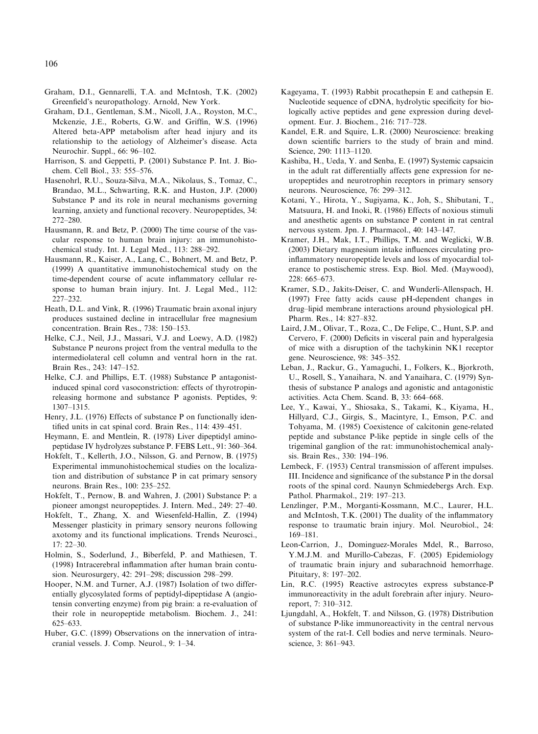- <span id="page-9-0"></span>Graham, D.I., Gennarelli, T.A. and McIntosh, T.K. (2002) Greenfield's neuropathology. Arnold, New York.
- Graham, D.I., Gentleman, S.M., Nicoll, J.A., Royston, M.C., Mckenzie, J.E., Roberts, G.W. and Griffin, W.S. (1996) Altered beta-APP metabolism after head injury and its relationship to the aetiology of Alzheimer's disease. Acta Neurochir. Suppl., 66: 96–102.
- Harrison, S. and Geppetti, P. (2001) Substance P. Int. J. Biochem. Cell Biol., 33: 555–576.
- Hasenohrl, R.U., Souza-Silva, M.A., Nikolaus, S., Tomaz, C., Brandao, M.L., Schwarting, R.K. and Huston, J.P. (2000) Substance P and its role in neural mechanisms governing learning, anxiety and functional recovery. Neuropeptides, 34: 272–280.
- Hausmann, R. and Betz, P. (2000) The time course of the vascular response to human brain injury: an immunohistochemical study. Int. J. Legal Med., 113: 288–292.
- Hausmann, R., Kaiser, A., Lang, C., Bohnert, M. and Betz, P. (1999) A quantitative immunohistochemical study on the time-dependent course of acute inflammatory cellular response to human brain injury. Int. J. Legal Med., 112: 227–232.
- Heath, D.L. and Vink, R. (1996) Traumatic brain axonal injury produces sustained decline in intracellular free magnesium concentration. Brain Res., 738: 150–153.
- Helke, C.J., Neil, J.J., Massari, V.J. and Loewy, A.D. (1982) Substance P neurons project from the ventral medulla to the intermediolateral cell column and ventral horn in the rat. Brain Res., 243: 147–152.
- Helke, C.J. and Phillips, E.T. (1988) Substance P antagonistinduced spinal cord vasoconstriction: effects of thyrotropinreleasing hormone and substance P agonists. Peptides, 9: 1307–1315.
- Henry, J.L. (1976) Effects of substance P on functionally identified units in cat spinal cord. Brain Res., 114: 439–451.
- Heymann, E. and Mentlein, R. (1978) Liver dipeptidyl aminopeptidase IV hydrolyzes substance P. FEBS Lett., 91: 360–364.
- Hokfelt, T., Kellerth, J.O., Nilsson, G. and Pernow, B. (1975) Experimental immunohistochemical studies on the localization and distribution of substance P in cat primary sensory neurons. Brain Res., 100: 235–252.
- Hokfelt, T., Pernow, B. and Wahren, J. (2001) Substance P: a pioneer amongst neuropeptides. J. Intern. Med., 249: 27–40.
- Hokfelt, T., Zhang, X. and Wiesenfeld-Hallin, Z. (1994) Messenger plasticity in primary sensory neurons following axotomy and its functional implications. Trends Neurosci., 17: 22–30.
- Holmin, S., Soderlund, J., Biberfeld, P. and Mathiesen, T. (1998) Intracerebral inflammation after human brain contusion. Neurosurgery, 42: 291–298; discussion 298–299.
- Hooper, N.M. and Turner, A.J. (1987) Isolation of two differentially glycosylated forms of peptidyl-dipeptidase A (angiotensin converting enzyme) from pig brain: a re-evaluation of their role in neuropeptide metabolism. Biochem. J., 241: 625–633.
- Huber, G.C. (1899) Observations on the innervation of intracranial vessels. J. Comp. Neurol., 9: 1–34.
- Kageyama, T. (1993) Rabbit procathepsin E and cathepsin E. Nucleotide sequence of cDNA, hydrolytic specificity for biologically active peptides and gene expression during development. Eur. J. Biochem., 216: 717–728.
- Kandel, E.R. and Squire, L.R. (2000) Neuroscience: breaking down scientific barriers to the study of brain and mind. Science, 290: 1113–1120.
- Kashiba, H., Ueda, Y. and Senba, E. (1997) Systemic capsaicin in the adult rat differentially affects gene expression for neuropeptides and neurotrophin receptors in primary sensory neurons. Neuroscience, 76: 299–312.
- Kotani, Y., Hirota, Y., Sugiyama, K., Joh, S., Shibutani, T., Matsuura, H. and Inoki, R. (1986) Effects of noxious stimuli and anesthetic agents on substance P content in rat central nervous system. Jpn. J. Pharmacol., 40: 143–147.
- Kramer, J.H., Mak, I.T., Phillips, T.M. and Weglicki, W.B. (2003) Dietary magnesium intake influences circulating proinflammatory neuropeptide levels and loss of myocardial tolerance to postischemic stress. Exp. Biol. Med. (Maywood), 228: 665–673.
- Kramer, S.D., Jakits-Deiser, C. and Wunderli-Allenspach, H. (1997) Free fatty acids cause pH-dependent changes in drug–lipid membrane interactions around physiological pH. Pharm. Res., 14: 827–832.
- Laird, J.M., Olivar, T., Roza, C., De Felipe, C., Hunt, S.P. and Cervero, F. (2000) Deficits in visceral pain and hyperalgesia of mice with a disruption of the tachykinin NK1 receptor gene. Neuroscience, 98: 345–352.
- Leban, J., Rackur, G., Yamaguchi, I., Folkers, K., Bjorkroth, U., Rosell, S., Yanaihara, N. and Yanaihara, C. (1979) Synthesis of substance P analogs and agonistic and antagonistic activities. Acta Chem. Scand. B, 33: 664–668.
- Lee, Y., Kawai, Y., Shiosaka, S., Takami, K., Kiyama, H., Hillyard, C.J., Girgis, S., Macintyre, I., Emson, P.C. and Tohyama, M. (1985) Coexistence of calcitonin gene-related peptide and substance P-like peptide in single cells of the trigeminal ganglion of the rat: immunohistochemical analysis. Brain Res., 330: 194–196.
- Lembeck, F. (1953) Central transmission of afferent impulses. III. Incidence and significance of the substance P in the dorsal roots of the spinal cord. Naunyn Schmiedebergs Arch. Exp. Pathol. Pharmakol., 219: 197–213.
- Lenzlinger, P.M., Morganti-Kossmann, M.C., Laurer, H.L. and McIntosh, T.K. (2001) The duality of the inflammatory response to traumatic brain injury. Mol. Neurobiol., 24: 169–181.
- Leon-Carrion, J., Dominguez-Morales Mdel, R., Barroso, Y.M.J.M. and Murillo-Cabezas, F. (2005) Epidemiology of traumatic brain injury and subarachnoid hemorrhage. Pituitary, 8: 197–202.
- Lin, R.C. (1995) Reactive astrocytes express substance-P immunoreactivity in the adult forebrain after injury. Neuroreport, 7: 310–312.
- Ljungdahl, A., Hokfelt, T. and Nilsson, G. (1978) Distribution of substance P-like immunoreactivity in the central nervous system of the rat-I. Cell bodies and nerve terminals. Neuroscience, 3: 861–943.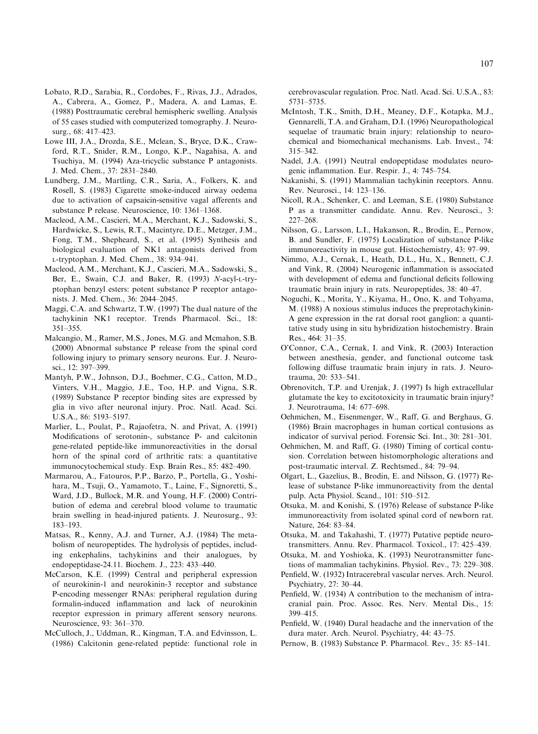- <span id="page-10-0"></span>Lobato, R.D., Sarabia, R., Cordobes, F., Rivas, J.J., Adrados, A., Cabrera, A., Gomez, P., Madera, A. and Lamas, E. (1988) Posttraumatic cerebral hemispheric swelling. Analysis of 55 cases studied with computerized tomography. J. Neurosurg., 68: 417–423.
- Lowe III, J.A., Drozda, S.E., Mclean, S., Bryce, D.K., Crawford, R.T., Snider, R.M., Longo, K.P., Nagahisa, A. and Tsuchiya, M. (1994) Aza-tricyclic substance P antagonists. J. Med. Chem., 37: 2831–2840.
- Lundberg, J.M., Martling, C.R., Saria, A., Folkers, K. and Rosell, S. (1983) Cigarette smoke-induced airway oedema due to activation of capsaicin-sensitive vagal afferents and substance P release. Neuroscience, 10: 1361–1368.
- Macleod, A.M., Cascieri, M.A., Merchant, K.J., Sadowski, S., Hardwicke, S., Lewis, R.T., Macintyre, D.E., Metzger, J.M., Fong, T.M., Shepheard, S., et al. (1995) Synthesis and biological evaluation of NK1 antagonists derived from L-tryptophan. J. Med. Chem., 38: 934–941.
- Macleod, A.M., Merchant, K.J., Cascieri, M.A., Sadowski, S., Ber, E., Swain, C.J. and Baker, R. (1993) N-acyl-L-tryptophan benzyl esters: potent substance P receptor antagonists. J. Med. Chem., 36: 2044–2045.
- Maggi, C.A. and Schwartz, T.W. (1997) The dual nature of the tachykinin NK1 receptor. Trends Pharmacol. Sci., 18: 351–355.
- Malcangio, M., Ramer, M.S., Jones, M.G. and Mcmahon, S.B. (2000) Abnormal substance P release from the spinal cord following injury to primary sensory neurons. Eur. J. Neurosci., 12: 397–399.
- Mantyh, P.W., Johnson, D.J., Boehmer, C.G., Catton, M.D., Vinters, V.H., Maggio, J.E., Too, H.P. and Vigna, S.R. (1989) Substance P receptor binding sites are expressed by glia in vivo after neuronal injury. Proc. Natl. Acad. Sci. U.S.A., 86: 5193–5197.
- Marlier, L., Poulat, P., Rajaofetra, N. and Privat, A. (1991) Modifications of serotonin-, substance P- and calcitonin gene-related peptide-like immunoreactivities in the dorsal horn of the spinal cord of arthritic rats: a quantitative immunocytochemical study. Exp. Brain Res., 85: 482–490.
- Marmarou, A., Fatouros, P.P., Barzo, P., Portella, G., Yoshihara, M., Tsuji, O., Yamamoto, T., Laine, F., Signoretti, S., Ward, J.D., Bullock, M.R. and Young, H.F. (2000) Contribution of edema and cerebral blood volume to traumatic brain swelling in head-injured patients. J. Neurosurg., 93: 183–193.
- Matsas, R., Kenny, A.J. and Turner, A.J. (1984) The metabolism of neuropeptides. The hydrolysis of peptides, including enkephalins, tachykinins and their analogues, by endopeptidase-24.11. Biochem. J., 223: 433–440.
- McCarson, K.E. (1999) Central and peripheral expression of neurokinin-1 and neurokinin-3 receptor and substance P-encoding messenger RNAs: peripheral regulation during formalin-induced inflammation and lack of neurokinin receptor expression in primary afferent sensory neurons. Neuroscience, 93: 361–370.
- McCulloch, J., Uddman, R., Kingman, T.A. and Edvinsson, L. (1986) Calcitonin gene-related peptide: functional role in

cerebrovascular regulation. Proc. Natl. Acad. Sci. U.S.A., 83: 5731–5735.

- McIntosh, T.K., Smith, D.H., Meaney, D.F., Kotapka, M.J., Gennarelli, T.A. and Graham, D.I. (1996) Neuropathological sequelae of traumatic brain injury: relationship to neurochemical and biomechanical mechanisms. Lab. Invest., 74: 315–342.
- Nadel, J.A. (1991) Neutral endopeptidase modulates neurogenic inflammation. Eur. Respir. J., 4: 745–754.
- Nakanishi, S. (1991) Mammalian tachykinin receptors. Annu. Rev. Neurosci., 14: 123–136.
- Nicoll, R.A., Schenker, C. and Leeman, S.E. (1980) Substance P as a transmitter candidate. Annu. Rev. Neurosci., 3: 227–268.
- Nilsson, G., Larsson, L.I., Hakanson, R., Brodin, E., Pernow, B. and Sundler, F. (1975) Localization of substance P-like immunoreactivity in mouse gut. Histochemistry, 43: 97–99.
- Nimmo, A.J., Cernak, I., Heath, D.L., Hu, X., Bennett, C.J. and Vink, R. (2004) Neurogenic inflammation is associated with development of edema and functional deficits following traumatic brain injury in rats. Neuropeptides, 38: 40–47.
- Noguchi, K., Morita, Y., Kiyama, H., Ono, K. and Tohyama, M. (1988) A noxious stimulus induces the preprotachykinin-A gene expression in the rat dorsal root ganglion: a quantitative study using in situ hybridization histochemistry. Brain Res., 464: 31–35.
- O'Connor, C.A., Cernak, I. and Vink, R. (2003) Interaction between anesthesia, gender, and functional outcome task following diffuse traumatic brain injury in rats. J. Neurotrauma, 20: 533–541.
- Obrenovitch, T.P. and Urenjak, J. (1997) Is high extracellular glutamate the key to excitotoxicity in traumatic brain injury? J. Neurotrauma, 14: 677–698.
- Oehmichen, M., Eisenmenger, W., Raff, G. and Berghaus, G. (1986) Brain macrophages in human cortical contusions as indicator of survival period. Forensic Sci. Int., 30: 281–301.
- Oehmichen, M. and Raff, G. (1980) Timing of cortical contusion. Correlation between histomorphologic alterations and post-traumatic interval. Z. Rechtsmed., 84: 79–94.
- Olgart, L., Gazelius, B., Brodin, E. and Nilsson, G. (1977) Release of substance P-like immunoreactivity from the dental pulp. Acta Physiol. Scand., 101: 510–512.
- Otsuka, M. and Konishi, S. (1976) Release of substance P-like immunoreactivity from isolated spinal cord of newborn rat. Nature, 264: 83–84.
- Otsuka, M. and Takahashi, T. (1977) Putative peptide neurotransmitters. Annu. Rev. Pharmacol. Toxicol., 17: 425–439.
- Otsuka, M. and Yoshioka, K. (1993) Neurotransmitter functions of mammalian tachykinins. Physiol. Rev., 73: 229–308.
- Penfield, W. (1932) Intracerebral vascular nerves. Arch. Neurol. Psychiatry, 27: 30–44.
- Penfield, W. (1934) A contribution to the mechanism of intracranial pain. Proc. Assoc. Res. Nerv. Mental Dis., 15: 399–415.
- Penfield, W. (1940) Dural headache and the innervation of the dura mater. Arch. Neurol. Psychiatry, 44: 43–75.
- Pernow, B. (1983) Substance P. Pharmacol. Rev., 35: 85–141.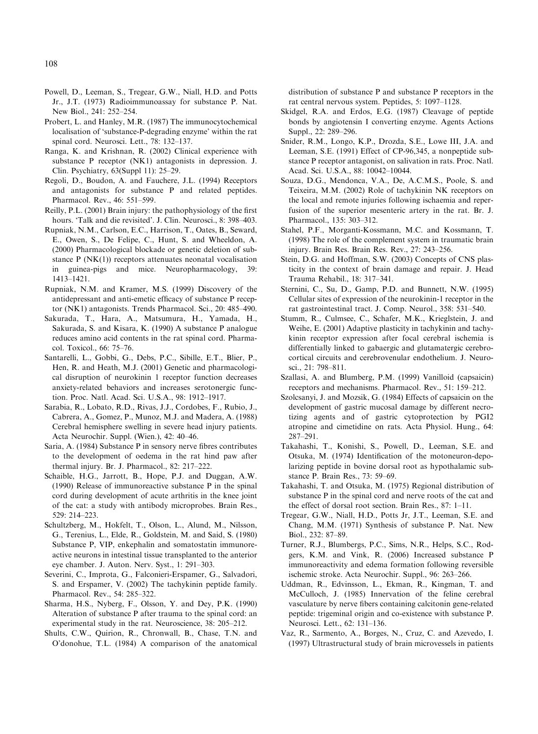- <span id="page-11-0"></span>Powell, D., Leeman, S., Tregear, G.W., Niall, H.D. and Potts Jr., J.T. (1973) Radioimmunoassay for substance P. Nat. New Biol., 241: 252–254.
- Probert, L. and Hanley, M.R. (1987) The immunocytochemical localisation of 'substance-P-degrading enzyme' within the rat spinal cord. Neurosci. Lett., 78: 132–137.
- Ranga, K. and Krishnan, R. (2002) Clinical experience with substance P receptor (NK1) antagonists in depression. J. Clin. Psychiatry, 63(Suppl 11): 25–29.
- Regoli, D., Boudon, A. and Fauchere, J.L. (1994) Receptors and antagonists for substance P and related peptides. Pharmacol. Rev., 46: 551–599.
- Reilly, P.L. (2001) Brain injury: the pathophysiology of the first hours. 'Talk and die revisited'. J. Clin. Neurosci., 8: 398–403.
- Rupniak, N.M., Carlson, E.C., Harrison, T., Oates, B., Seward, E., Owen, S., De Felipe, C., Hunt, S. and Wheeldon, A. (2000) Pharmacological blockade or genetic deletion of substance  $P(NK(1))$  receptors attenuates neonatal vocalisation in guinea-pigs and mice. Neuropharmacology, 39: 1413–1421.
- Rupniak, N.M. and Kramer, M.S. (1999) Discovery of the antidepressant and anti-emetic efficacy of substance P receptor (NK1) antagonists. Trends Pharmacol. Sci., 20: 485–490.
- Sakurada, T., Hara, A., Matsumura, H., Yamada, H., Sakurada, S. and Kisara, K. (1990) A substance P analogue reduces amino acid contents in the rat spinal cord. Pharmacol. Toxicol., 66: 75–76.
- Santarelli, L., Gobbi, G., Debs, P.C., Sibille, E.T., Blier, P., Hen, R. and Heath, M.J. (2001) Genetic and pharmacological disruption of neurokinin 1 receptor function decreases anxiety-related behaviors and increases serotonergic function. Proc. Natl. Acad. Sci. U.S.A., 98: 1912–1917.
- Sarabia, R., Lobato, R.D., Rivas, J.J., Cordobes, F., Rubio, J., Cabrera, A., Gomez, P., Munoz, M.J. and Madera, A. (1988) Cerebral hemisphere swelling in severe head injury patients. Acta Neurochir. Suppl. (Wien.), 42: 40–46.
- Saria, A. (1984) Substance P in sensory nerve fibres contributes to the development of oedema in the rat hind paw after thermal injury. Br. J. Pharmacol., 82: 217–222.
- Schaible, H.G., Jarrott, B., Hope, P.J. and Duggan, A.W. (1990) Release of immunoreactive substance P in the spinal cord during development of acute arthritis in the knee joint of the cat: a study with antibody microprobes. Brain Res., 529: 214–223.
- Schultzberg, M., Hokfelt, T., Olson, L., Alund, M., Nilsson, G., Terenius, L., Elde, R., Goldstein, M. and Said, S. (1980) Substance P, VIP, enkephalin and somatostatin immunoreactive neurons in intestinal tissue transplanted to the anterior eye chamber. J. Auton. Nerv. Syst., 1: 291–303.
- Severini, C., Improta, G., Falconieri-Erspamer, G., Salvadori, S. and Erspamer, V. (2002) The tachykinin peptide family. Pharmacol. Rev., 54: 285–322.
- Sharma, H.S., Nyberg, F., Olsson, Y. and Dey, P.K. (1990) Alteration of substance P after trauma to the spinal cord: an experimental study in the rat. Neuroscience, 38: 205–212.
- Shults, C.W., Quirion, R., Chronwall, B., Chase, T.N. and O'donohue, T.L. (1984) A comparison of the anatomical

distribution of substance P and substance P receptors in the rat central nervous system. Peptides, 5: 1097–1128.

- Skidgel, R.A. and Erdos, E.G. (1987) Cleavage of peptide bonds by angiotensin I converting enzyme. Agents Actions Suppl., 22: 289–296.
- Snider, R.M., Longo, K.P., Drozda, S.E., Lowe III, J.A. and Leeman, S.E. (1991) Effect of CP-96,345, a nonpeptide substance P receptor antagonist, on salivation in rats. Proc. Natl. Acad. Sci. U.S.A., 88: 10042–10044.
- Souza, D.G., Mendonca, V.A., De, A.C.M.S., Poole, S. and Teixeira, M.M. (2002) Role of tachykinin NK receptors on the local and remote injuries following ischaemia and reperfusion of the superior mesenteric artery in the rat. Br. J. Pharmacol., 135: 303–312.
- Stahel, P.F., Morganti-Kossmann, M.C. and Kossmann, T. (1998) The role of the complement system in traumatic brain injury. Brain Res. Brain Res. Rev., 27: 243–256.
- Stein, D.G. and Hoffman, S.W. (2003) Concepts of CNS plasticity in the context of brain damage and repair. J. Head Trauma Rehabil., 18: 317–341.
- Sternini, C., Su, D., Gamp, P.D. and Bunnett, N.W. (1995) Cellular sites of expression of the neurokinin-1 receptor in the rat gastrointestinal tract. J. Comp. Neurol., 358: 531–540.
- Stumm, R., Culmsee, C., Schafer, M.K., Krieglstein, J. and Weihe, E. (2001) Adaptive plasticity in tachykinin and tachykinin receptor expression after focal cerebral ischemia is differentially linked to gabaergic and glutamatergic cerebrocortical circuits and cerebrovenular endothelium. J. Neurosci., 21: 798–811.
- Szallasi, A. and Blumberg, P.M. (1999) Vanilloid (capsaicin) receptors and mechanisms. Pharmacol. Rev., 51: 159–212.
- Szolcsanyi, J. and Mozsik, G. (1984) Effects of capsaicin on the development of gastric mucosal damage by different necrotizing agents and of gastric cytoprotection by PGI2 atropine and cimetidine on rats. Acta Physiol. Hung., 64: 287–291.
- Takahashi, T., Konishi, S., Powell, D., Leeman, S.E. and Otsuka, M. (1974) Identification of the motoneuron-depolarizing peptide in bovine dorsal root as hypothalamic substance P. Brain Res., 73: 59–69.
- Takahashi, T. and Otsuka, M. (1975) Regional distribution of substance P in the spinal cord and nerve roots of the cat and the effect of dorsal root section. Brain Res., 87: 1–11.
- Tregear, G.W., Niall, H.D., Potts Jr, J.T., Leeman, S.E. and Chang, M.M. (1971) Synthesis of substance P. Nat. New Biol., 232: 87–89.
- Turner, R.J., Blumbergs, P.C., Sims, N.R., Helps, S.C., Rodgers, K.M. and Vink, R. (2006) Increased substance P immunoreactivity and edema formation following reversible ischemic stroke. Acta Neurochir. Suppl., 96: 263–266.
- Uddman, R., Edvinsson, L., Ekman, R., Kingman, T. and McCulloch, J. (1985) Innervation of the feline cerebral vasculature by nerve fibers containing calcitonin gene-related peptide: trigeminal origin and co-existence with substance P. Neurosci. Lett., 62: 131–136.
- Vaz, R., Sarmento, A., Borges, N., Cruz, C. and Azevedo, I. (1997) Ultrastructural study of brain microvessels in patients